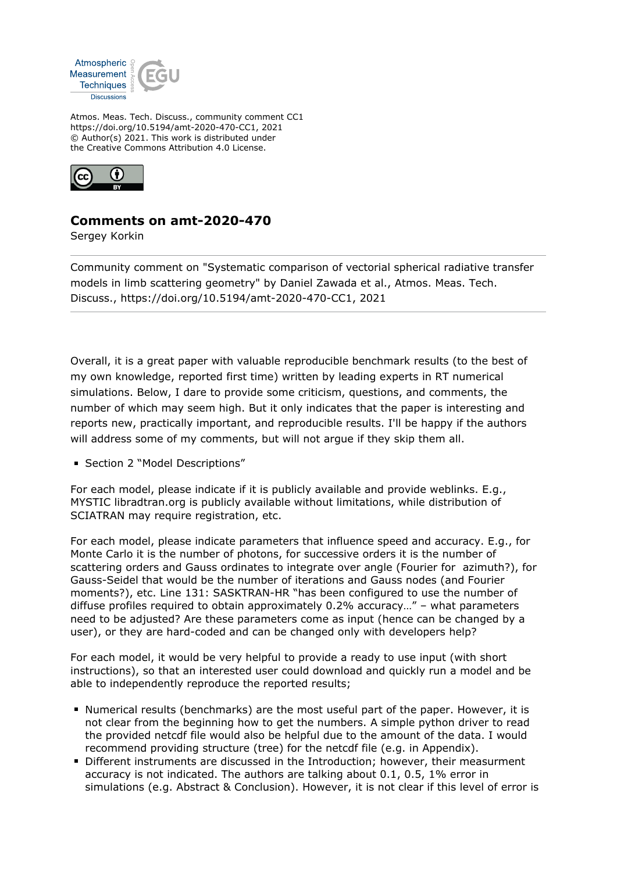

Atmos. Meas. Tech. Discuss., community comment CC1 https://doi.org/10.5194/amt-2020-470-CC1, 2021 © Author(s) 2021. This work is distributed under the Creative Commons Attribution 4.0 License.



## **Comments on amt-2020-470**

Sergey Korkin

Community comment on "Systematic comparison of vectorial spherical radiative transfer models in limb scattering geometry" by Daniel Zawada et al., Atmos. Meas. Tech. Discuss., https://doi.org/10.5194/amt-2020-470-CC1, 2021

Overall, it is a great paper with valuable reproducible benchmark results (to the best of my own knowledge, reported first time) written by leading experts in RT numerical simulations. Below, I dare to provide some criticism, questions, and comments, the number of which may seem high. But it only indicates that the paper is interesting and reports new, practically important, and reproducible results. I'll be happy if the authors will address some of my comments, but will not argue if they skip them all.

**Section 2 "Model Descriptions"** 

For each model, please indicate if it is publicly available and provide weblinks. E.g., MYSTIC libradtran.org is publicly available without limitations, while distribution of SCIATRAN may require registration, etc.

For each model, please indicate parameters that influence speed and accuracy. E.g., for Monte Carlo it is the number of photons, for successive orders it is the number of scattering orders and Gauss ordinates to integrate over angle (Fourier for azimuth?), for Gauss-Seidel that would be the number of iterations and Gauss nodes (and Fourier moments?), etc. Line 131: SASKTRAN-HR "has been configured to use the number of diffuse profiles required to obtain approximately 0.2% accuracy…" – what parameters need to be adjusted? Are these parameters come as input (hence can be changed by a user), or they are hard-coded and can be changed only with developers help?

For each model, it would be very helpful to provide a ready to use input (with short instructions), so that an interested user could download and quickly run a model and be able to independently reproduce the reported results;

- Numerical results (benchmarks) are the most useful part of the paper. However, it is not clear from the beginning how to get the numbers. A simple python driver to read the provided netcdf file would also be helpful due to the amount of the data. I would recommend providing structure (tree) for the netcdf file (e.g. in Appendix).
- Different instruments are discussed in the Introduction; however, their measurment accuracy is not indicated. The authors are talking about 0.1, 0.5, 1% error in simulations (e.g. Abstract & Conclusion). However, it is not clear if this level of error is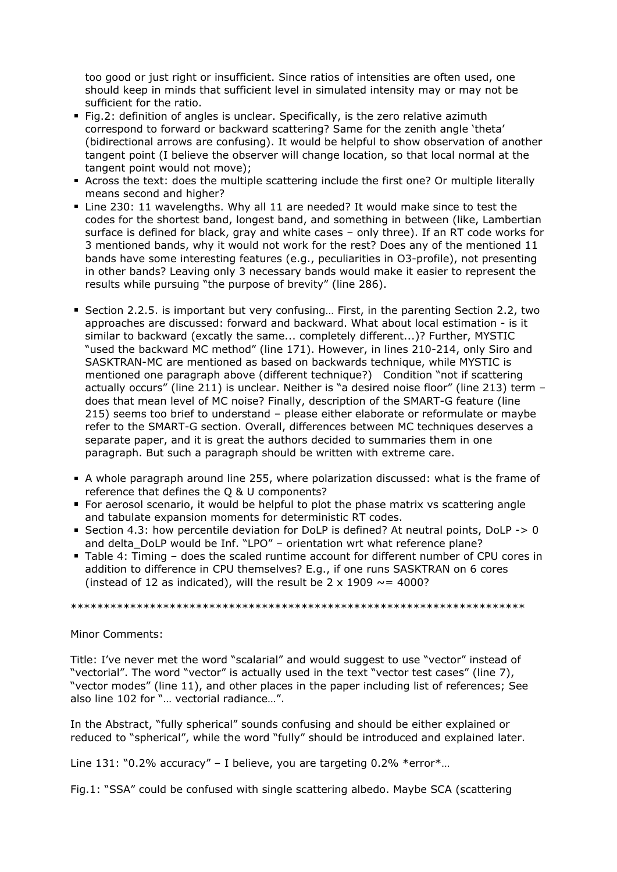too good or just right or insufficient. Since ratios of intensities are often used, one should keep in minds that sufficient level in simulated intensity may or may not be sufficient for the ratio.

- Fig.2: definition of angles is unclear. Specifically, is the zero relative azimuth correspond to forward or backward scattering? Same for the zenith angle 'theta' (bidirectional arrows are confusing). It would be helpful to show observation of another tangent point (I believe the observer will change location, so that local normal at the tangent point would not move);
- Across the text: does the multiple scattering include the first one? Or multiple literally means second and higher?
- Line 230: 11 wavelengths. Why all 11 are needed? It would make since to test the codes for the shortest band, longest band, and something in between (like, Lambertian surface is defined for black, gray and white cases – only three). If an RT code works for 3 mentioned bands, why it would not work for the rest? Does any of the mentioned 11 bands have some interesting features (e.g., peculiarities in O3-profile), not presenting in other bands? Leaving only 3 necessary bands would make it easier to represent the results while pursuing "the purpose of brevity" (line 286).
- Section 2.2.5. is important but very confusing… First, in the parenting Section 2.2, two approaches are discussed: forward and backward. What about local estimation - is it similar to backward (excatly the same... completely different...)? Further, MYSTIC "used the backward MC method" (line 171). However, in lines 210-214, only Siro and SASKTRAN-MC are mentioned as based on backwards technique, while MYSTIC is mentioned one paragraph above (different technique?) Condition "not if scattering actually occurs" (line 211) is unclear. Neither is "a desired noise floor" (line 213) term – does that mean level of MC noise? Finally, description of the SMART-G feature (line 215) seems too brief to understand – please either elaborate or reformulate or maybe refer to the SMART-G section. Overall, differences between MC techniques deserves a separate paper, and it is great the authors decided to summaries them in one paragraph. But such a paragraph should be written with extreme care.
- A whole paragraph around line 255, where polarization discussed: what is the frame of reference that defines the Q & U components?
- For aerosol scenario, it would be helpful to plot the phase matrix vs scattering angle and tabulate expansion moments for deterministic RT codes.
- Section 4.3: how percentile deviation for DoLP is defined? At neutral points, DoLP -> 0 and delta DoLP would be Inf. "LPO" – orientation wrt what reference plane?
- Table 4: Timing does the scaled runtime account for different number of CPU cores in addition to difference in CPU themselves? E.g., if one runs SASKTRAN on 6 cores (instead of 12 as indicated), will the result be 2 x 1909  $\sim$  = 4000?

\*\*\*\*\*\*\*\*\*\*\*\*\*\*\*\*\*\*\*\*\*\*\*\*\*\*\*\*\*\*\*\*\*\*\*\*\*\*\*\*\*\*\*\*\*\*\*\*\*\*\*\*\*\*\*\*\*\*\*\*\*\*\*\*\*\*\*\*\*

## Minor Comments:

Title: I've never met the word "scalarial" and would suggest to use "vector" instead of "vectorial". The word "vector" is actually used in the text "vector test cases" (line 7), "vector modes" (line 11), and other places in the paper including list of references; See also line 102 for "… vectorial radiance…".

In the Abstract, "fully spherical" sounds confusing and should be either explained or reduced to "spherical", while the word "fully" should be introduced and explained later.

Line  $131: "0.2%$  accuracy" – I believe, you are targeting  $0.2\%$  \*error\*...

Fig.1: "SSA" could be confused with single scattering albedo. Maybe SCA (scattering